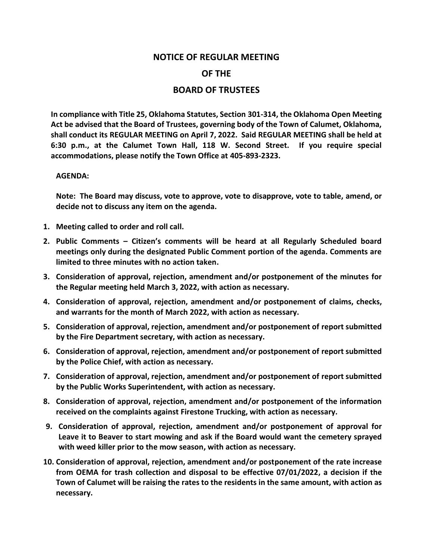## **NOTICE OF REGULAR MEETING OF THE BOARD OF TRUSTEES**

**In compliance with Title 25, Oklahoma Statutes, Section 301-314, the Oklahoma Open Meeting Act be advised that the Board of Trustees, governing body of the Town of Calumet, Oklahoma, shall conduct its REGULAR MEETING on April 7, 2022. Said REGULAR MEETING shall be held at 6:30 p.m., at the Calumet Town Hall, 118 W. Second Street. If you require special accommodations, please notify the Town Office at 405-893-2323.**

## **AGENDA:**

**Note: The Board may discuss, vote to approve, vote to disapprove, vote to table, amend, or decide not to discuss any item on the agenda.**

- **1. Meeting called to order and roll call.**
- **2. Public Comments – Citizen's comments will be heard at all Regularly Scheduled board meetings only during the designated Public Comment portion of the agenda. Comments are limited to three minutes with no action taken.**
- **3. Consideration of approval, rejection, amendment and/or postponement of the minutes for the Regular meeting held March 3, 2022, with action as necessary.**
- **4. Consideration of approval, rejection, amendment and/or postponement of claims, checks, and warrants for the month of March 2022, with action as necessary.**
- **5. Consideration of approval, rejection, amendment and/or postponement of report submitted by the Fire Department secretary, with action as necessary.**
- **6. Consideration of approval, rejection, amendment and/or postponement of report submitted by the Police Chief, with action as necessary.**
- **7. Consideration of approval, rejection, amendment and/or postponement of report submitted by the Public Works Superintendent, with action as necessary.**
- **8. Consideration of approval, rejection, amendment and/or postponement of the information received on the complaints against Firestone Trucking, with action as necessary.**
- **9. Consideration of approval, rejection, amendment and/or postponement of approval for Leave it to Beaver to start mowing and ask if the Board would want the cemetery sprayed with weed killer prior to the mow season, with action as necessary.**
- **10. Consideration of approval, rejection, amendment and/or postponement of the rate increase from OEMA for trash collection and disposal to be effective 07/01/2022, a decision if the Town of Calumet will be raising the rates to the residents in the same amount, with action as necessary.**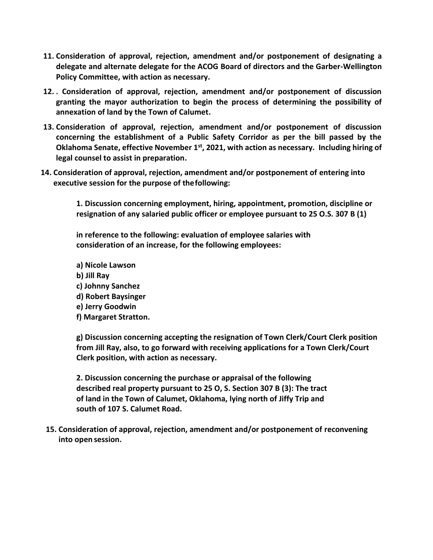- **11. Consideration of approval, rejection, amendment and/or postponement of designating a delegate and alternate delegate for the ACOG Board of directors and the Garber-Wellington Policy Committee, with action as necessary.**
- **12. . Consideration of approval, rejection, amendment and/or postponement of discussion granting the mayor authorization to begin the process of determining the possibility of annexation of land by the Town of Calumet.**
- **13. Consideration of approval, rejection, amendment and/or postponement of discussion concerning the establishment of a Public Safety Corridor as per the bill passed by the**  Oklahoma Senate, effective November 1<sup>st</sup>, 2021, with action as necessary. Including hiring of **legal counsel to assist in preparation.**
- **14. Consideration of approval, rejection, amendment and/or postponement of entering into executive session for the purpose of thefollowing:**

**1. Discussion concerning employment, hiring, appointment, promotion, discipline or resignation of any salaried public officer or employee pursuant to 25 O.S. 307 B (1)**

**in reference to the following: evaluation of employee salaries with consideration of an increase, for the following employees:**

**a) Nicole Lawson b) Jill Ray c) Johnny Sanchez d) Robert Baysinger e) Jerry Goodwin f) Margaret Stratton.**

**g) Discussion concerning accepting the resignation of Town Clerk/Court Clerk position from Jill Ray, also, to go forward with receiving applications for a Town Clerk/Court Clerk position, with action as necessary.**

**2. Discussion concerning the purchase or appraisal of the following described real property pursuant to 25 O, S. Section 307 B (3): The tract of land in the Town of Calumet, Oklahoma, lying north of Jiffy Trip and south of 107 S. Calumet Road.**

**15. Consideration of approval, rejection, amendment and/or postponement of reconvening into open session.**